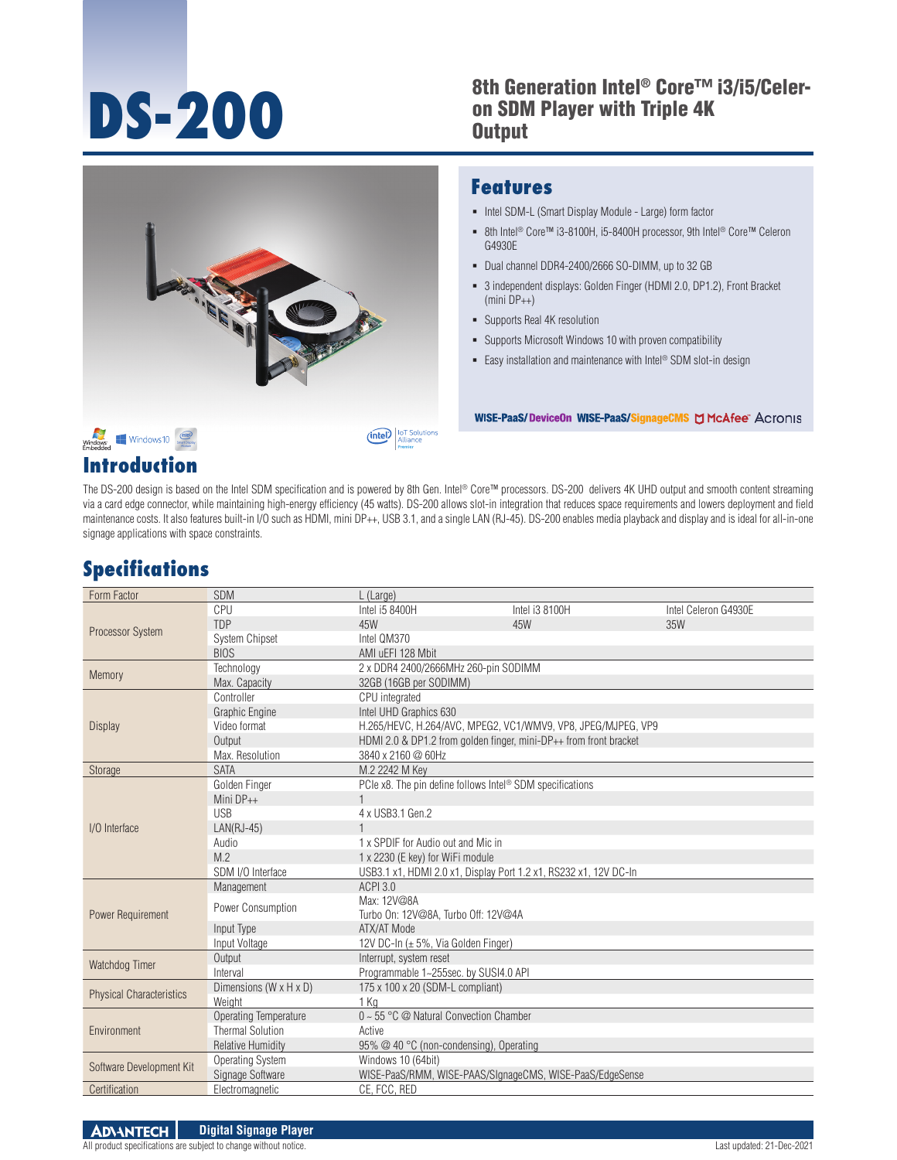#### **DS-200** 8th Generation Intel® Core™ i3/i5/Celer-<br>
on SDM Player with Triple 4K<br>
Output on SDM Player with Triple 4K **Output**



#### **Features**

- Intel SDM-L (Smart Display Module Large) form factor
- 8th Intel<sup>®</sup> Core™ i3-8100H, i5-8400H processor, 9th Intel<sup>®</sup> Core™ Celeron G4930E
- Dual channel DDR4-2400/2666 SO-DIMM, up to 32 GB
- 3 independent displays: Golden Finger (HDMI 2.0, DP1.2), Front Bracket (mini DP++)
- Supports Real 4K resolution
- Supports Microsoft Windows 10 with proven compatibility
- Easy installation and maintenance with Intel<sup>®</sup> SDM slot-in design

WISE-PaaS/Device0n WISE-PaaS/SignageCMS D McAfee" Acronis

#### **Introduction**

The DS-200 design is based on the Intel SDM specification and is powered by 8th Gen. Intel® Core™ processors. DS-200 delivers 4K UHD output and smooth content streaming via a card edge connector, while maintaining high-energy efficiency (45 watts). DS-200 allows slot-in integration that reduces space requirements and lowers deployment and field maintenance costs. It also features built-in I/O such as HDMI, mini DP++, USB 3.1, and a single LAN (RJ-45). DS-200 enables media playback and display and is ideal for all-in-one signage applications with space constraints.

## **Specifications**

| Form Factor                     | <b>SDM</b>                   | L (Large)                                                         |                                                              |                      |
|---------------------------------|------------------------------|-------------------------------------------------------------------|--------------------------------------------------------------|----------------------|
| Processor System                | CPU                          | Intel i5 8400H                                                    | Intel i3 8100H                                               | Intel Celeron G4930E |
|                                 | TDP                          | 45W                                                               | 45W                                                          | 35W                  |
|                                 | System Chipset               | Intel QM370                                                       |                                                              |                      |
|                                 | <b>BIOS</b>                  | AMI uEFI 128 Mbit                                                 |                                                              |                      |
| Memory                          | Technology                   | 2 x DDR4 2400/2666MHz 260-pin SODIMM                              |                                                              |                      |
|                                 | Max. Capacity                | 32GB (16GB per SODIMM)                                            |                                                              |                      |
|                                 | Controller                   | CPU integrated                                                    |                                                              |                      |
|                                 | Graphic Engine               | Intel UHD Graphics 630                                            |                                                              |                      |
| <b>Display</b>                  | Video format                 |                                                                   | H.265/HEVC, H.264/AVC, MPEG2, VC1/WMV9, VP8, JPEG/MJPEG, VP9 |                      |
|                                 | Output                       | HDMI 2.0 & DP1.2 from golden finger, mini-DP++ from front bracket |                                                              |                      |
|                                 | Max. Resolution              | 3840 x 2160 @ 60Hz                                                |                                                              |                      |
| Storage                         | <b>SATA</b>                  | M.2 2242 M Kev                                                    |                                                              |                      |
|                                 | Golden Finger                | PCIe x8. The pin define follows Intel® SDM specifications         |                                                              |                      |
|                                 | Mini DP++                    |                                                                   |                                                              |                      |
|                                 | <b>USB</b>                   | 4 x USB3.1 Gen.2                                                  |                                                              |                      |
| I/O Interface                   | $LAN(RJ-45)$                 |                                                                   |                                                              |                      |
|                                 | Audio                        | 1 x SPDIF for Audio out and Mic in                                |                                                              |                      |
|                                 | M.2                          | 1 x 2230 (E key) for WiFi module                                  |                                                              |                      |
|                                 | SDM I/O Interface            | USB3.1 x1, HDMI 2.0 x1, Display Port 1.2 x1, RS232 x1, 12V DC-In  |                                                              |                      |
|                                 | Management                   | <b>ACPI 3.0</b>                                                   |                                                              |                      |
|                                 | Power Consumption            | Max: 12V@8A                                                       |                                                              |                      |
| Power Requirement               |                              | Turbo On: 12V@8A, Turbo Off: 12V@4A                               |                                                              |                      |
|                                 | Input Type                   | ATX/AT Mode                                                       |                                                              |                      |
|                                 | Input Voltage                | 12V DC-In $(\pm 5\%$ , Via Golden Finger)                         |                                                              |                      |
| Watchdog Timer                  | Output                       | Interrupt, system reset                                           |                                                              |                      |
|                                 | Interval                     | Programmable 1~255sec. by SUSI4.0 API                             |                                                              |                      |
| <b>Physical Characteristics</b> | Dimensions (W x H x D)       | 175 x 100 x 20 (SDM-L compliant)                                  |                                                              |                      |
|                                 | Weight                       | 1 Ka                                                              |                                                              |                      |
| Environment                     | <b>Operating Temperature</b> | $0 \sim 55$ °C @ Natural Convection Chamber                       |                                                              |                      |
|                                 | <b>Thermal Solution</b>      | Active                                                            |                                                              |                      |
|                                 | <b>Relative Humidity</b>     |                                                                   | 95% @ 40 °C (non-condensing), Operating                      |                      |
| Software Development Kit        | <b>Operating System</b>      | Windows 10 (64bit)                                                |                                                              |                      |
|                                 | Signage Software             | WISE-PaaS/RMM, WISE-PAAS/SIgnageCMS, WISE-PaaS/EdgeSense          |                                                              |                      |
| Certification                   | Electromagnetic              | CE. FCC. RED                                                      |                                                              |                      |